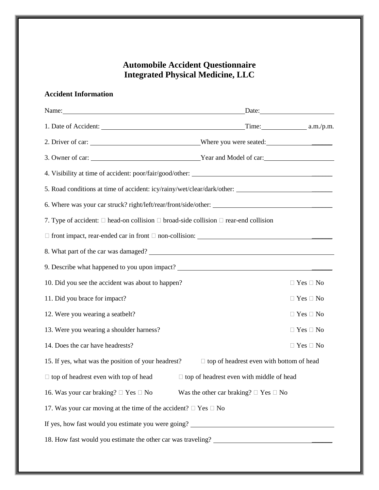## **Automobile Accident Questionnaire Integrated Physical Medicine, LLC**

## **Accident Information**

| Name: Name and the set of the set of the set of the set of the set of the set of the set of the set of the set of the set of the set of the set of the set of the set of the set of the set of the set of the set of the set o | Date:                                           |                      |
|--------------------------------------------------------------------------------------------------------------------------------------------------------------------------------------------------------------------------------|-------------------------------------------------|----------------------|
|                                                                                                                                                                                                                                |                                                 |                      |
|                                                                                                                                                                                                                                |                                                 |                      |
|                                                                                                                                                                                                                                |                                                 |                      |
|                                                                                                                                                                                                                                |                                                 |                      |
|                                                                                                                                                                                                                                |                                                 |                      |
|                                                                                                                                                                                                                                |                                                 |                      |
| 7. Type of accident: $\Box$ head-on collision $\Box$ broad-side collision $\Box$ rear-end collision                                                                                                                            |                                                 |                      |
| $\Box$ front impact, rear-ended car in front $\Box$ non-collision:                                                                                                                                                             |                                                 |                      |
|                                                                                                                                                                                                                                |                                                 |                      |
| 9. Describe what happened to you upon impact?                                                                                                                                                                                  |                                                 |                      |
| 10. Did you see the accident was about to happen?                                                                                                                                                                              |                                                 | $\Box$ Yes $\Box$ No |
| 11. Did you brace for impact?                                                                                                                                                                                                  |                                                 | $\Box$ Yes $\Box$ No |
| 12. Were you wearing a seatbelt?                                                                                                                                                                                               |                                                 | $\Box$ Yes $\Box$ No |
| 13. Were you wearing a shoulder harness?                                                                                                                                                                                       |                                                 | $\Box$ Yes $\Box$ No |
| 14. Does the car have headrests?                                                                                                                                                                                               |                                                 | $\Box$ Yes $\Box$ No |
| 15. If yes, what was the position of your headrest?<br>$\Box$ top of headrest even with bottom of head                                                                                                                         |                                                 |                      |
| $\Box$ top of headrest even with top of head<br>$\Box$ top of headrest even with middle of head                                                                                                                                |                                                 |                      |
| 16. Was your car braking? $\Box$ Yes $\Box$ No                                                                                                                                                                                 | Was the other car braking? $\Box$ Yes $\Box$ No |                      |
| 17. Was your car moving at the time of the accident? $\Box$ Yes $\Box$ No                                                                                                                                                      |                                                 |                      |
| If yes, how fast would you estimate you were going? _____________________________                                                                                                                                              |                                                 |                      |
|                                                                                                                                                                                                                                |                                                 |                      |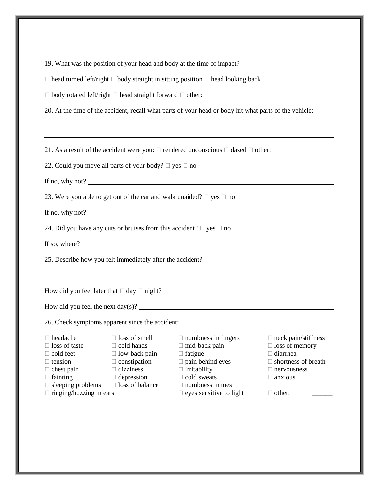| 19. What was the position of your head and body at the time of impact?                                                                                                                                                                                                                                                                             |                                                                                                                                                                                                           |                                                                                                                                                        |  |  |  |
|----------------------------------------------------------------------------------------------------------------------------------------------------------------------------------------------------------------------------------------------------------------------------------------------------------------------------------------------------|-----------------------------------------------------------------------------------------------------------------------------------------------------------------------------------------------------------|--------------------------------------------------------------------------------------------------------------------------------------------------------|--|--|--|
| $\Box$ head turned left/right $\Box$ body straight in sitting position $\Box$ head looking back                                                                                                                                                                                                                                                    |                                                                                                                                                                                                           |                                                                                                                                                        |  |  |  |
| □ body rotated left/right □ head straight forward □ other:<br>□                                                                                                                                                                                                                                                                                    |                                                                                                                                                                                                           |                                                                                                                                                        |  |  |  |
| 20. At the time of the accident, recall what parts of your head or body hit what parts of the vehicle:                                                                                                                                                                                                                                             |                                                                                                                                                                                                           |                                                                                                                                                        |  |  |  |
| <u> 1989 - Jan Samuel Barbara, margaret amerikan basar dan berasal dalam berasal dalam berasal dalam berasal dala</u>                                                                                                                                                                                                                              |                                                                                                                                                                                                           |                                                                                                                                                        |  |  |  |
| 21. As a result of the accident were you: $\Box$ rendered unconscious $\Box$ dazed $\Box$ other:                                                                                                                                                                                                                                                   |                                                                                                                                                                                                           |                                                                                                                                                        |  |  |  |
| 22. Could you move all parts of your body? $\square$ yes $\square$ no                                                                                                                                                                                                                                                                              |                                                                                                                                                                                                           |                                                                                                                                                        |  |  |  |
| If no, why not?                                                                                                                                                                                                                                                                                                                                    |                                                                                                                                                                                                           |                                                                                                                                                        |  |  |  |
| 23. Were you able to get out of the car and walk unaided? $\Box$ yes $\Box$ no                                                                                                                                                                                                                                                                     |                                                                                                                                                                                                           |                                                                                                                                                        |  |  |  |
|                                                                                                                                                                                                                                                                                                                                                    |                                                                                                                                                                                                           |                                                                                                                                                        |  |  |  |
| 24. Did you have any cuts or bruises from this accident? $\Box$ yes $\Box$ no                                                                                                                                                                                                                                                                      |                                                                                                                                                                                                           |                                                                                                                                                        |  |  |  |
|                                                                                                                                                                                                                                                                                                                                                    |                                                                                                                                                                                                           |                                                                                                                                                        |  |  |  |
|                                                                                                                                                                                                                                                                                                                                                    |                                                                                                                                                                                                           |                                                                                                                                                        |  |  |  |
|                                                                                                                                                                                                                                                                                                                                                    |                                                                                                                                                                                                           |                                                                                                                                                        |  |  |  |
|                                                                                                                                                                                                                                                                                                                                                    |                                                                                                                                                                                                           |                                                                                                                                                        |  |  |  |
| How did you feel the next $day(s)$ ?                                                                                                                                                                                                                                                                                                               |                                                                                                                                                                                                           |                                                                                                                                                        |  |  |  |
| 26. Check symptoms apparent since the accident:                                                                                                                                                                                                                                                                                                    |                                                                                                                                                                                                           |                                                                                                                                                        |  |  |  |
| $\Box$ loss of smell<br>$\Box$ headache<br>$\Box$ loss of taste<br>$\Box$ cold hands<br>$\Box$ cold feet<br>$\Box$ low-back pain<br>$\Box$ constipation<br>$\Box$ tension<br>$\Box$ dizziness<br>$\Box$ chest pain<br>$\Box$ fainting<br>$\Box$ depression<br>$\Box$ loss of balance<br>$\Box$ sleeping problems<br>$\Box$ ringing/buzzing in ears | $\Box$ numbness in fingers<br>$\Box$ mid-back pain<br>$\Box$ fatigue<br>$\Box$ pain behind eyes<br>$\Box$ irritability<br>$\Box$ cold sweats<br>$\Box$ numbness in toes<br>$\Box$ eyes sensitive to light | $\Box$ neck pain/stiffness<br>$\Box$ loss of memory<br>$\Box$ diarrhea<br>shortness of breath<br>$\Box$ nervousness<br>$\Box$ anxious<br>$\Box$ other: |  |  |  |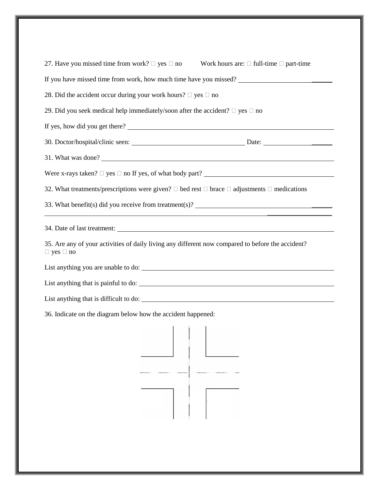| 27. Have you missed time from work? $\Box$ yes $\Box$ no                |                                                                                                                  |
|-------------------------------------------------------------------------|------------------------------------------------------------------------------------------------------------------|
|                                                                         | Work hours are: $\Box$ full-time $\Box$ part-time                                                                |
|                                                                         | If you have missed time from work, how much time have you missed?                                                |
| 28. Did the accident occur during your work hours? $\Box$ yes $\Box$ no |                                                                                                                  |
|                                                                         | 29. Did you seek medical help immediately/soon after the accident? $\Box$ yes $\Box$ no                          |
|                                                                         |                                                                                                                  |
|                                                                         |                                                                                                                  |
|                                                                         | 31. What was done?                                                                                               |
|                                                                         | Were x-rays taken? $\Box$ yes $\Box$ no If yes, of what body part?                                               |
|                                                                         | 32. What treatments/prescriptions were given? $\Box$ bed rest $\Box$ brace $\Box$ adjustments $\Box$ medications |
|                                                                         |                                                                                                                  |
|                                                                         | 34. Date of last treatment:                                                                                      |
|                                                                         | 35. Are any of your activities of daily living any different now compared to before the accident?                |
| $\Box$ yes $\Box$ no                                                    |                                                                                                                  |
|                                                                         |                                                                                                                  |
|                                                                         |                                                                                                                  |
|                                                                         | List anything that is difficult to do:                                                                           |
| 36. Indicate on the diagram below how the accident happened:            |                                                                                                                  |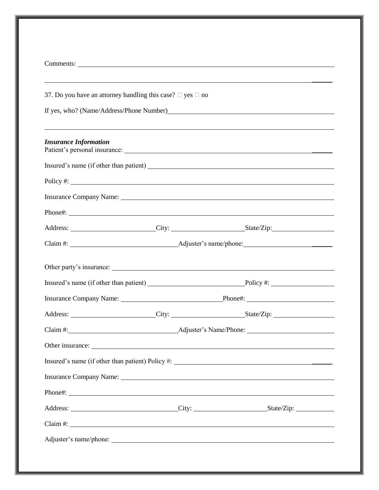| 37. Do you have an attorney handling this case? $\Box$ yes $\Box$ no                                                                                                                                                           |  |
|--------------------------------------------------------------------------------------------------------------------------------------------------------------------------------------------------------------------------------|--|
|                                                                                                                                                                                                                                |  |
| <b>Insurance Information</b>                                                                                                                                                                                                   |  |
|                                                                                                                                                                                                                                |  |
|                                                                                                                                                                                                                                |  |
| Insurance Company Name: 1988 Manner Company Name: 1988 Manner Company Name: 1988 Manner Company Name: 1988 Manner Company Name: 1988 Manner Company Name: 1988 Manner Company Name: 1988 Manner Company Name: 1988 Manner Comp |  |
| Phone#: example and a series are a series of the series of the series of the series of the series of the series of the series of the series of the series of the series of the series of the series of the series of the serie |  |
| Address: City: City: State/Zip:                                                                                                                                                                                                |  |
|                                                                                                                                                                                                                                |  |
|                                                                                                                                                                                                                                |  |
|                                                                                                                                                                                                                                |  |
| Insurance Company Name: Phone#: Phone#:                                                                                                                                                                                        |  |
| Address:                                                                                                                                                                                                                       |  |
|                                                                                                                                                                                                                                |  |
| Other insurance:                                                                                                                                                                                                               |  |
|                                                                                                                                                                                                                                |  |
| Insurance Company Name: <u>and a series of the company Name</u>                                                                                                                                                                |  |
| Phone#:                                                                                                                                                                                                                        |  |
|                                                                                                                                                                                                                                |  |
|                                                                                                                                                                                                                                |  |
| $Claim \#:$                                                                                                                                                                                                                    |  |